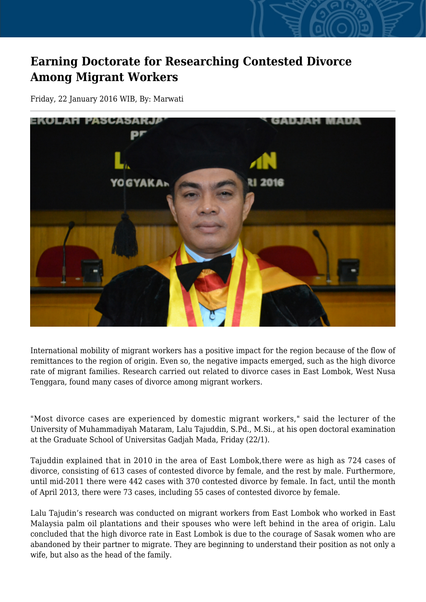## **Earning Doctorate for Researching Contested Divorce Among Migrant Workers**

Friday, 22 January 2016 WIB, By: Marwati



International mobility of migrant workers has a positive impact for the region because of the flow of remittances to the region of origin. Even so, the negative impacts emerged, such as the high divorce rate of migrant families. Research carried out related to divorce cases in East Lombok, West Nusa Tenggara, found many cases of divorce among migrant workers.

"Most divorce cases are experienced by domestic migrant workers," said the lecturer of the University of Muhammadiyah Mataram, Lalu Tajuddin, S.Pd., M.Si., at his open doctoral examination at the Graduate School of Universitas Gadjah Mada, Friday (22/1).

Tajuddin explained that in 2010 in the area of East Lombok,there were as high as 724 cases of divorce, consisting of 613 cases of contested divorce by female, and the rest by male. Furthermore, until mid-2011 there were 442 cases with 370 contested divorce by female. In fact, until the month of April 2013, there were 73 cases, including 55 cases of contested divorce by female.

Lalu Tajudin's research was conducted on migrant workers from East Lombok who worked in East Malaysia palm oil plantations and their spouses who were left behind in the area of origin. Lalu concluded that the high divorce rate in East Lombok is due to the courage of Sasak women who are abandoned by their partner to migrate. They are beginning to understand their position as not only a wife, but also as the head of the family.